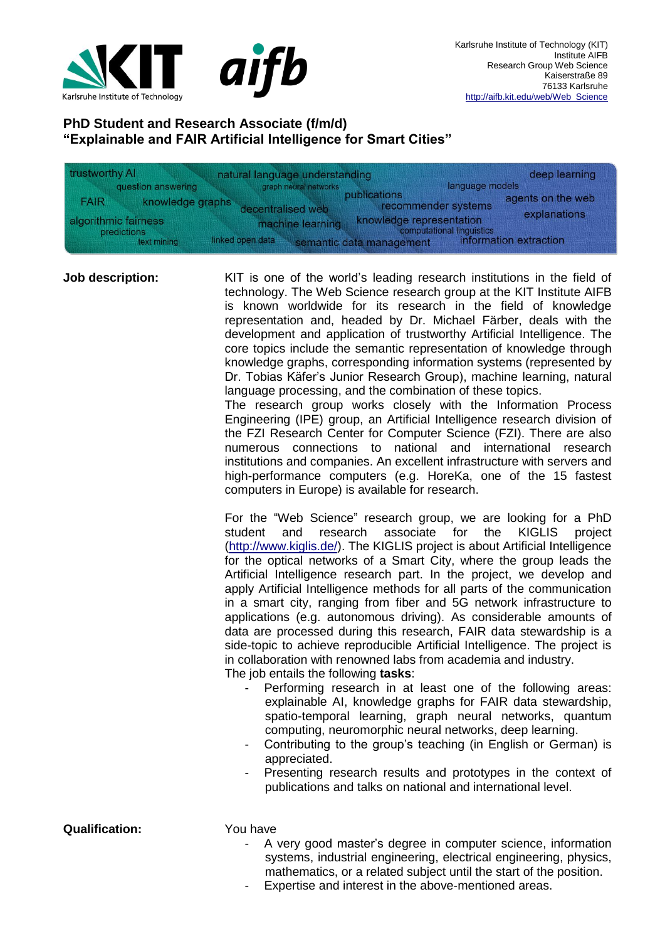

## **PhD Student and Research Associate (f/m/d) "Explainable and FAIR Artificial Intelligence for Smart Cities"**

| trustworthy AI |                                                    | natural language understanding       |                                                                                   | deep learning                     |  |
|----------------|----------------------------------------------------|--------------------------------------|-----------------------------------------------------------------------------------|-----------------------------------|--|
|                | question answering                                 | graph neural networks                | language models                                                                   |                                   |  |
| <b>FAIR</b>    | knowledge graphs                                   | decentralised web                    | publications<br>recommender systems                                               | agents on the web<br>explanations |  |
|                | algorithmic fairness<br>predictions<br>text mining | machine learning<br>linked open data | knowledge representation<br>computational linguistics<br>semantic data management | information extraction            |  |

**Job description:** KIT is one of the world's leading research institutions in the field of technology. The Web Science research group at the KIT Institute AIFB is known worldwide for its research in the field of knowledge representation and, headed by Dr. Michael Färber, deals with the development and application of trustworthy Artificial Intelligence. The core topics include the semantic representation of knowledge through knowledge graphs, corresponding information systems (represented by Dr. Tobias Käfer's Junior Research Group), machine learning, natural language processing, and the combination of these topics. The research group works closely with the Information Process

Engineering (IPE) group, an Artificial Intelligence research division of the FZI Research Center for Computer Science (FZI). There are also numerous connections to national and international research institutions and companies. An excellent infrastructure with servers and high-performance computers (e.g. HoreKa, one of the 15 fastest computers in Europe) is available for research.

For the "Web Science" research group, we are looking for a PhD student and research associate for the KIGLIS project [\(http://www.kiglis.de/\)](http://www.kiglis.de/). The KIGLIS project is about Artificial Intelligence for the optical networks of a Smart City, where the group leads the Artificial Intelligence research part. In the project, we develop and apply Artificial Intelligence methods for all parts of the communication in a smart city, ranging from fiber and 5G network infrastructure to applications (e.g. autonomous driving). As considerable amounts of data are processed during this research, FAIR data stewardship is a side-topic to achieve reproducible Artificial Intelligence. The project is in collaboration with renowned labs from academia and industry.

The job entails the following **tasks**:

- Performing research in at least one of the following areas: explainable AI, knowledge graphs for FAIR data stewardship, spatio-temporal learning, graph neural networks, quantum computing, neuromorphic neural networks, deep learning.
- Contributing to the group's teaching (in English or German) is appreciated.
- Presenting research results and prototypes in the context of publications and talks on national and international level.

**Qualification:** You have

- A very good master's degree in computer science, information systems, industrial engineering, electrical engineering, physics, mathematics, or a related subject until the start of the position.
	- Expertise and interest in the above-mentioned areas.